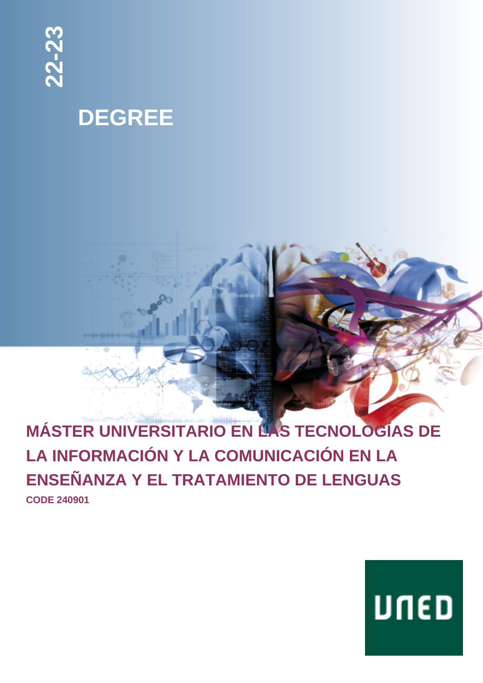

## **DEGREE**

## **MÁSTER UNIVERSITARIO EN LAS TECNOLOGÍAS DE LA INFORMACIÓN Y LA COMUNICACIÓN EN LA ENSEÑANZA Y EL TRATAMIENTO DE LENGUAS CODE 240901**

# UNED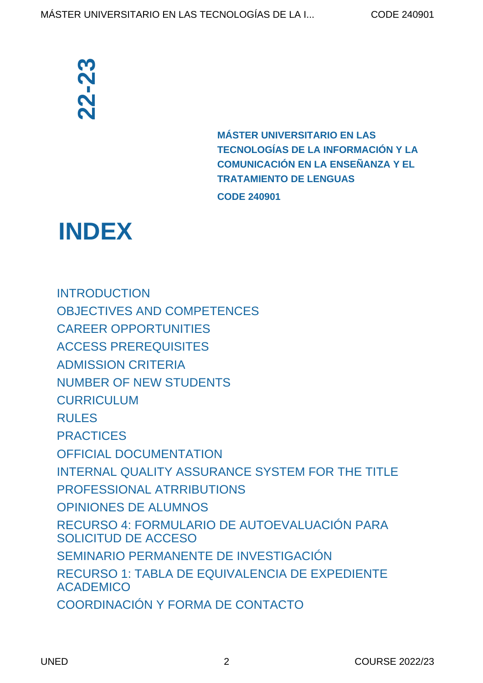**MÁSTER UNIVERSITARIO EN LAS TECNOLOGÍAS DE LA INFORMACIÓN Y LA COMUNICACIÓN EN LA ENSEÑANZA Y EL TRATAMIENTO DE LENGUAS CODE 240901**

## **INDEX**

[INTRODUCTION](#page-3-0) [OBJECTIVES AND COMPETENCES](#page-4-0) [CAREER OPPORTUNITIES](#page-5-0) [ACCESS PREREQUISITES](#page-6-0) [ADMISSION CRITERIA](#page-7-0) [NUMBER OF NEW STUDENTS](#page-9-0) [CURRICULUM](#page-9-1) [RULES](#page-15-0) [PRACTICES](#page-16-0) [OFFICIAL DOCUMENTATION](#page-17-0) [INTERNAL QUALITY ASSURANCE SYSTEM FOR THE TITLE](#page-17-1)  [PROFESSIONAL ATRRIBUTIONS](#page-18-0) [OPINIONES DE ALUMNOS](#page-18-1) [RECURSO 4: FORMULARIO DE AUTOEVALUACIÓN PARA](#page-20-0) [SOLICITUD DE ACCESO](#page-20-0) [SEMINARIO PERMANENTE DE INVESTIGACIÓN](#page-20-1) [RECURSO 1: TABLA DE EQUIVALENCIA DE EXPEDIENTE](#page-22-0) **[ACADEMICO](#page-22-0) CONTACTS AND MASTER UNIVERS<br>
TECNOLOGÍAS DE<br>
COMUNICACIÓN E TRATAMIENTO DE<br>
CONDUCTION<br>
CODE 240901<br>
INDEX<br>
CODE 240901<br>
INDEX<br>
CODE 240901<br>
CODE 240901<br>
CODE 240901<br>
CORPICIAL DE CONTERIA<br>
NUMBER OF NEW STUDENTS<br>
CURRICU**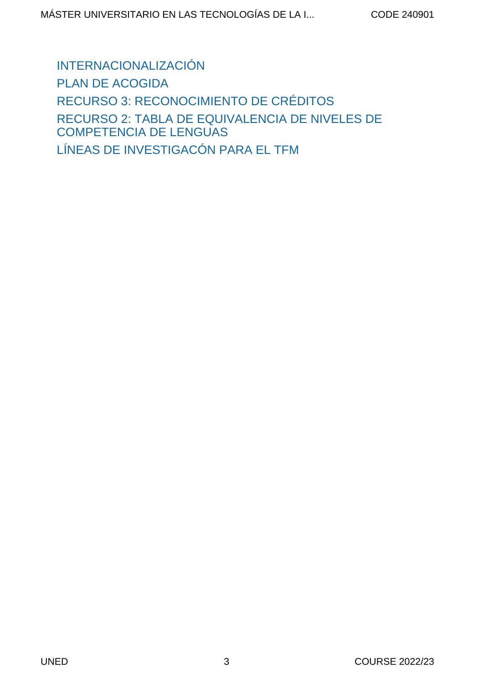[INTERNACIONALIZACIÓN](#page-25-0) [PLAN DE ACOGIDA](#page-26-0) [RECURSO 3: RECONOCIMIENTO DE CRÉDITOS](#page-27-0) [RECURSO 2: TABLA DE EQUIVALENCIA DE NIVELES DE](#page-27-1) [COMPETENCIA DE LENGUAS](#page-27-1) [LÍNEAS DE INVESTIGACÓN PARA EL TFM](#page-29-0)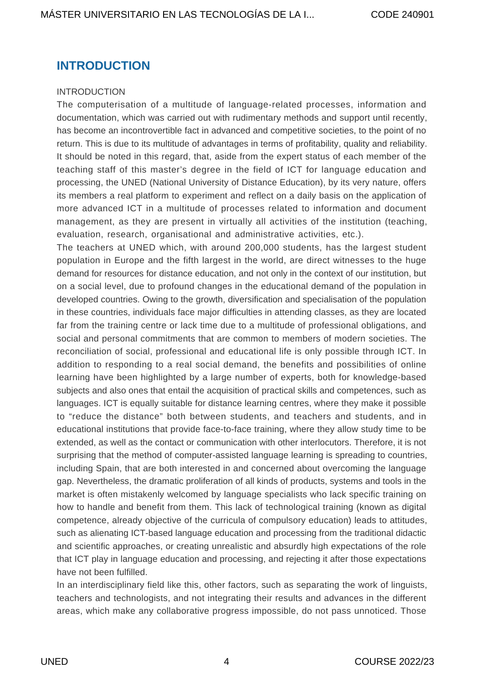## <span id="page-3-0"></span>**INTRODUCTION**

#### INTRODUCTION

The computerisation of a multitude of language-related processes, information and documentation, which was carried out with rudimentary methods and support until recently, has become an incontrovertible fact in advanced and competitive societies, to the point of no return. This is due to its multitude of advantages in terms of profitability, quality and reliability. It should be noted in this regard, that, aside from the expert status of each member of the teaching staff of this master's degree in the field of ICT for language education and processing, the UNED (National University of Distance Education), by its very nature, offers its members a real platform to experiment and reflect on a daily basis on the application of more advanced ICT in a multitude of processes related to information and document management, as they are present in virtually all activities of the institution (teaching, evaluation, research, organisational and administrative activities, etc.).

The teachers at UNED which, with around 200,000 students, has the largest student population in Europe and the fifth largest in the world, are direct witnesses to the huge demand for resources for distance education, and not only in the context of our institution, but on a social level, due to profound changes in the educational demand of the population in developed countries. Owing to the growth, diversification and specialisation of the population in these countries, individuals face major difficulties in attending classes, as they are located far from the training centre or lack time due to a multitude of professional obligations, and social and personal commitments that are common to members of modern societies. The reconciliation of social, professional and educational life is only possible through ICT. In addition to responding to a real social demand, the benefits and possibilities of online learning have been highlighted by a large number of experts, both for knowledge-based subjects and also ones that entail the acquisition of practical skills and competences, such as languages. ICT is equally suitable for distance learning centres, where they make it possible to "reduce the distance" both between students, and teachers and students, and in educational institutions that provide face-to-face training, where they allow study time to be extended, as well as the contact or communication with other interlocutors. Therefore, it is not surprising that the method of computer-assisted language learning is spreading to countries, including Spain, that are both interested in and concerned about overcoming the language gap. Nevertheless, the dramatic proliferation of all kinds of products, systems and tools in the market is often mistakenly welcomed by language specialists who lack specific training on how to handle and benefit from them. This lack of technological training (known as digital competence, already objective of the curricula of compulsory education) leads to attitudes, such as alienating ICT-based language education and processing from the traditional didactic and scientific approaches, or creating unrealistic and absurdly high expectations of the role that ICT play in language education and processing, and rejecting it after those expectations have not been fulfilled.

In an interdisciplinary field like this, other factors, such as separating the work of linguists, teachers and technologists, and not integrating their results and advances in the different areas, which make any collaborative progress impossible, do not pass unnoticed. Those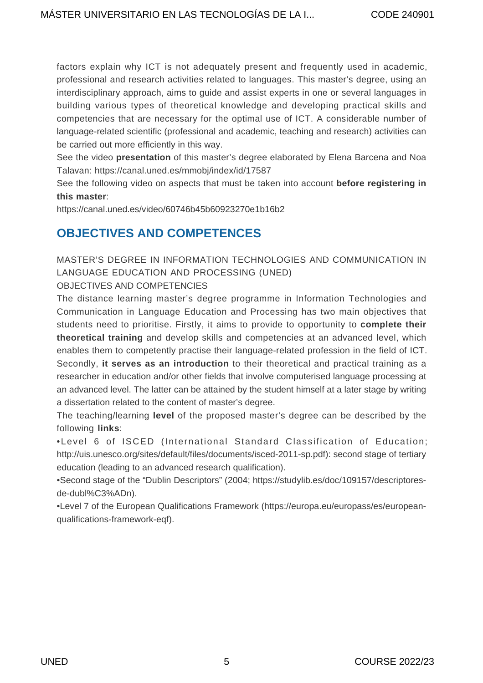factors explain why ICT is not adequately present and frequently used in academic, professional and research activities related to languages. This master's degree, using an interdisciplinary approach, aims to guide and assist experts in one or several languages in building various types of theoretical knowledge and developing practical skills and competencies that are necessary for the optimal use of ICT. A considerable number of language-related scientific (professional and academic, teaching and research) activities can be carried out more efficiently in this way.

See the video **presentation** of this master's degree elaborated by Elena Barcena and Noa Talavan: <https://canal.uned.es/mmobj/index/id/17587>

See the following video on aspects that must be taken into account **before registering in this master**:

<https://canal.uned.es/video/60746b45b60923270e1b16b2>

## <span id="page-4-0"></span>**OBJECTIVES AND COMPETENCES**

MASTER'S DEGREE IN INFORMATION TECHNOLOGIES AND COMMUNICATION IN LANGUAGE EDUCATION AND PROCESSING (UNED)

OBJECTIVES AND COMPETENCIES

The distance learning master's degree programme in Information Technologies and Communication in Language Education and Processing has two main objectives that students need to prioritise. Firstly, it aims to provide to opportunity to **complete their theoretical training** and develop skills and competencies at an advanced level, which enables them to competently practise their language-related profession in the field of ICT. Secondly, **it serves as an introduction** to their theoretical and practical training as a researcher in education and/or other fields that involve computerised language processing at an advanced level. The latter can be attained by the student himself at a later stage by writing a dissertation related to the content of master's degree.

The teaching/learning **level** of the proposed master's degree can be described by the following **links**:

•Level 6 of ISCED (International Standard Classification of Education; [http://uis.unesco.org/sites/default/files/documents/isced-2011-sp.pdf\)](http://uis.unesco.org/sites/default/files/documents/isced-2011-sp.pdf): second stage of tertiary education (leading to an advanced research qualification).

•Second stage of the "Dublin Descriptors" (2004; [https://studylib.es/doc/109157/descriptores](https://studylib.es/doc/109157/descriptores-de-dubl%C3%ADn)[de-dubl%C3%ADn](https://studylib.es/doc/109157/descriptores-de-dubl%C3%ADn)).

•Level 7 of the European Qualifications Framework ([https://europa.eu/europass/es/european](https://europa.eu/europass/es/european-qualifications-framework-eqf)[qualifications-framework-eqf\)](https://europa.eu/europass/es/european-qualifications-framework-eqf).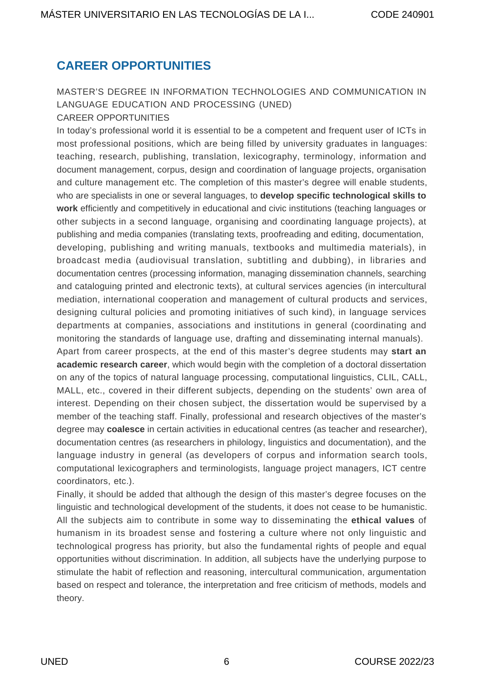## <span id="page-5-0"></span>**CAREER OPPORTUNITIES**

## MASTER'S DEGREE IN INFORMATION TECHNOLOGIES AND COMMUNICATION IN LANGUAGE EDUCATION AND PROCESSING (UNED)

### CAREER OPPORTUNITIES In today's professional world it is essential to be a competent and frequent user of ICTs in most professional positions, which are being filled by university graduates in languages: teaching, research, publishing, translation, lexicography, terminology, information and document management, corpus, design and coordination of language projects, organisation and culture management etc. The completion of this master's degree will enable students, who are specialists in one or several languages, to **develop specific technological skills to work** efficiently and competitively in educational and civic institutions (teaching languages or other subjects in a second language, organising and coordinating language projects), at publishing and media companies (translating texts, proofreading and editing, documentation, developing, publishing and writing manuals, textbooks and multimedia materials), in broadcast media (audiovisual translation, subtitling and dubbing), in libraries and documentation centres (processing information, managing dissemination channels, searching and cataloguing printed and electronic texts), at cultural services agencies (in intercultural mediation, international cooperation and management of cultural products and services, designing cultural policies and promoting initiatives of such kind), in language services departments at companies, associations and institutions in general (coordinating and

Apart from career prospects, at the end of this master's degree students may **start an academic research career**, which would begin with the completion of a doctoral dissertation on any of the topics of natural language processing, computational linguistics, CLIL, CALL, MALL, etc., covered in their different subjects, depending on the students' own area of interest. Depending on their chosen subject, the dissertation would be supervised by a member of the teaching staff. Finally, professional and research objectives of the master's degree may **coalesce** in certain activities in educational centres (as teacher and researcher), documentation centres (as researchers in philology, linguistics and documentation), and the language industry in general (as developers of corpus and information search tools, computational lexicographers and terminologists, language project managers, ICT centre coordinators, etc.).

monitoring the standards of language use, drafting and disseminating internal manuals).

Finally, it should be added that although the design of this master's degree focuses on the linguistic and technological development of the students, it does not cease to be humanistic. All the subjects aim to contribute in some way to disseminating the **ethical values** of humanism in its broadest sense and fostering a culture where not only linguistic and technological progress has priority, but also the fundamental rights of people and equal opportunities without discrimination. In addition, all subjects have the underlying purpose to stimulate the habit of reflection and reasoning, intercultural communication, argumentation based on respect and tolerance, the interpretation and free criticism of methods, models and theory.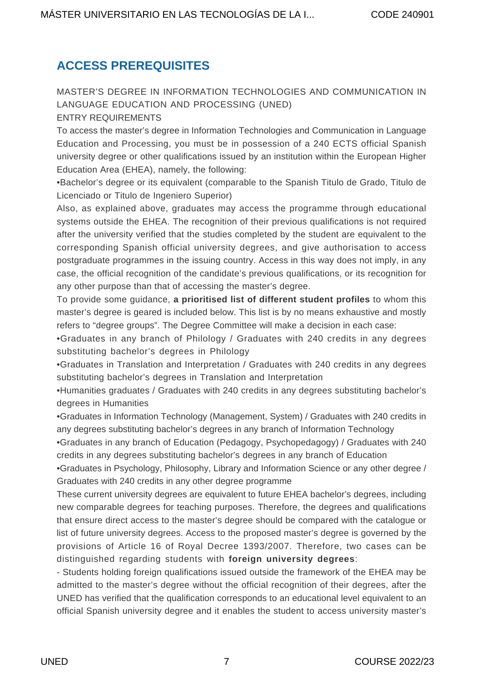## <span id="page-6-0"></span>**ACCESS PREREQUISITES**

## MASTER'S DEGREE IN INFORMATION TECHNOLOGIES AND COMMUNICATION IN LANGUAGE EDUCATION AND PROCESSING (UNED)

#### ENTRY REQUIREMENTS

To access the master's degree in Information Technologies and Communication in Language Education and Processing, you must be in possession of a 240 ECTS official Spanish university degree or other qualifications issued by an institution within the European Higher Education Area (EHEA), namely, the following:

•Bachelor's degree or its equivalent (comparable to the Spanish Titulo de Grado, Titulo de Licenciado or Titulo de Ingeniero Superior)

Also, as explained above, graduates may access the programme through educational systems outside the EHEA. The recognition of their previous qualifications is not required after the university verified that the studies completed by the student are equivalent to the corresponding Spanish official university degrees, and give authorisation to access postgraduate programmes in the issuing country. Access in this way does not imply, in any case, the official recognition of the candidate's previous qualifications, or its recognition for any other purpose than that of accessing the master's degree.

To provide some guidance, **a prioritised list of different student profiles** to whom this master's degree is geared is included below. This list is by no means exhaustive and mostly refers to "degree groups". The Degree Committee will make a decision in each case:

•Graduates in any branch of Philology / Graduates with 240 credits in any degrees substituting bachelor's degrees in Philology

•Graduates in Translation and Interpretation / Graduates with 240 credits in any degrees substituting bachelor's degrees in Translation and Interpretation

•Humanities graduates / Graduates with 240 credits in any degrees substituting bachelor's degrees in Humanities

•Graduates in Information Technology (Management, System) / Graduates with 240 credits in any degrees substituting bachelor's degrees in any branch of Information Technology

•Graduates in any branch of Education (Pedagogy, Psychopedagogy) / Graduates with 240 credits in any degrees substituting bachelor's degrees in any branch of Education

•Graduates in Psychology, Philosophy, Library and Information Science or any other degree / Graduates with 240 credits in any other degree programme

These current university degrees are equivalent to future EHEA bachelor's degrees, including new comparable degrees for teaching purposes. Therefore, the degrees and qualifications that ensure direct access to the master's degree should be compared with the catalogue or list of future university degrees. Access to the proposed master's degree is governed by the provisions of Article 16 of Royal Decree 1393/2007. Therefore, two cases can be distinguished regarding students with **foreign university degrees**:

- Students holding foreign qualifications issued outside the framework of the EHEA may be admitted to the master's degree without the official recognition of their degrees, after the UNED has verified that the qualification corresponds to an educational level equivalent to an official Spanish university degree and it enables the student to access university master's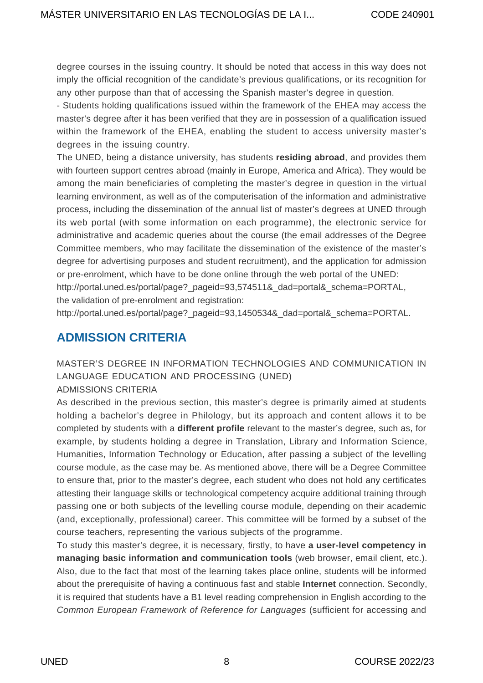degree courses in the issuing country. It should be noted that access in this way does not imply the official recognition of the candidate's previous qualifications, or its recognition for any other purpose than that of accessing the Spanish master's degree in question.

- Students holding qualifications issued within the framework of the EHEA may access the master's degree after it has been verified that they are in possession of a qualification issued within the framework of the EHEA, enabling the student to access university master's degrees in the issuing country.

The UNED, being a distance university, has students **residing abroad**, and provides them with fourteen support centres abroad (mainly in Europe, America and Africa). They would be among the main beneficiaries of completing the master's degree in question in the virtual learning environment, as well as of the computerisation of the information and administrative process**,** including the dissemination of the annual list of master's degrees at UNED through its web portal (with some information on each programme), the electronic service for administrative and academic queries about the course (the email addresses of the Degree Committee members, who may facilitate the dissemination of the existence of the master's degree for advertising purposes and student recruitment), and the application for admission or pre-enrolment, which have to be done online through the web portal of the UNED: [http://portal.uned.es/portal/page?\\_pageid=93,574511&\\_dad=portal&\\_schema=PORTAL](http://portal.uned.es/portal/page?_pageid=93,574511&_dad=portal&_schema=PORTAL), the validation of pre-enrolment and registration:

[http://portal.uned.es/portal/page?\\_pageid=93,1450534&\\_dad=portal&\\_schema=PORTAL](http://portal.uned.es/portal/page?_pageid=93,1450534&_dad=portal&_schema=PORTAL).

## <span id="page-7-0"></span>**ADMISSION CRITERIA**

MASTER'S DEGREE IN INFORMATION TECHNOLOGIES AND COMMUNICATION IN LANGUAGE EDUCATION AND PROCESSING (UNED)

#### ADMISSIONS CRITERIA

As described in the previous section, this master's degree is primarily aimed at students holding a bachelor's degree in Philology, but its approach and content allows it to be completed by students with a **different profile** relevant to the master's degree, such as, for example, by students holding a degree in Translation, Library and Information Science, Humanities, Information Technology or Education, after passing a subject of the levelling course module, as the case may be. As mentioned above, there will be a Degree Committee to ensure that, prior to the master's degree, each student who does not hold any certificates attesting their language skills or technological competency acquire additional training through passing one or both subjects of the levelling course module, depending on their academic (and, exceptionally, professional) career. This committee will be formed by a subset of the course teachers, representing the various subjects of the programme.

To study this master's degree, it is necessary, firstly, to have **a user-level competency in managing basic information and communication tools** (web browser, email client, etc.). Also, due to the fact that most of the learning takes place online, students will be informed about the prerequisite of having a continuous fast and stable **Internet** connection. Secondly, it is required that students have a B1 level reading comprehension in English according to the Common European Framework of Reference for Languages (sufficient for accessing and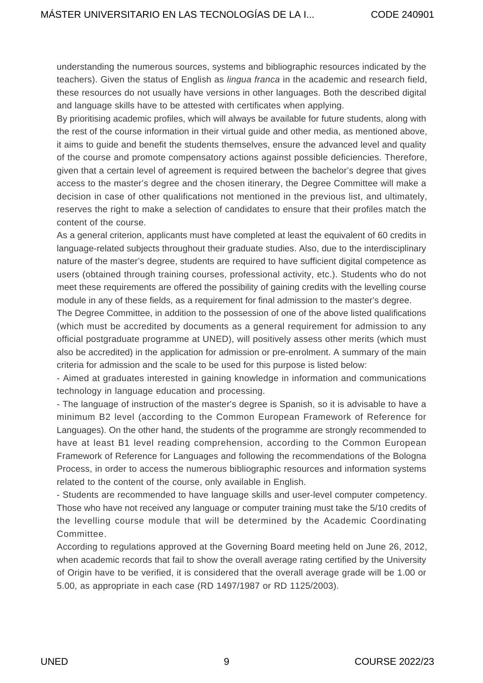understanding the numerous sources, systems and bibliographic resources indicated by the teachers). Given the status of English as lingua franca in the academic and research field, these resources do not usually have versions in other languages. Both the described digital and language skills have to be attested with certificates when applying.

By prioritising academic profiles, which will always be available for future students, along with the rest of the course information in their virtual guide and other media, as mentioned above, it aims to guide and benefit the students themselves, ensure the advanced level and quality of the course and promote compensatory actions against possible deficiencies. Therefore, given that a certain level of agreement is required between the bachelor's degree that gives access to the master's degree and the chosen itinerary, the Degree Committee will make a decision in case of other qualifications not mentioned in the previous list, and ultimately, reserves the right to make a selection of candidates to ensure that their profiles match the content of the course.

As a general criterion, applicants must have completed at least the equivalent of 60 credits in language-related subjects throughout their graduate studies. Also, due to the interdisciplinary nature of the master's degree, students are required to have sufficient digital competence as users (obtained through training courses, professional activity, etc.). Students who do not meet these requirements are offered the possibility of gaining credits with the levelling course module in any of these fields, as a requirement for final admission to the master's degree.

The Degree Committee, in addition to the possession of one of the above listed qualifications (which must be accredited by documents as a general requirement for admission to any official postgraduate programme at UNED), will positively assess other merits (which must also be accredited) in the application for admission or pre-enrolment. A summary of the main criteria for admission and the scale to be used for this purpose is listed below:

- Aimed at graduates interested in gaining knowledge in information and communications technology in language education and processing.

- The language of instruction of the master's degree is Spanish, so it is advisable to have a minimum B2 level (according to the Common European Framework of Reference for Languages). On the other hand, the students of the programme are strongly recommended to have at least B1 level reading comprehension, according to the Common European Framework of Reference for Languages and following the recommendations of the Bologna Process, in order to access the numerous bibliographic resources and information systems related to the content of the course, only available in English.

- Students are recommended to have language skills and user-level computer competency. Those who have not received any language or computer training must take the 5/10 credits of the levelling course module that will be determined by the Academic Coordinating Committee.

According to regulations approved at the Governing Board meeting held on June 26, 2012, when academic records that fail to show the overall average rating certified by the University of Origin have to be verified, it is considered that the overall average grade will be 1.00 or 5.00, as appropriate in each case (RD 1497/1987 or RD 1125/2003).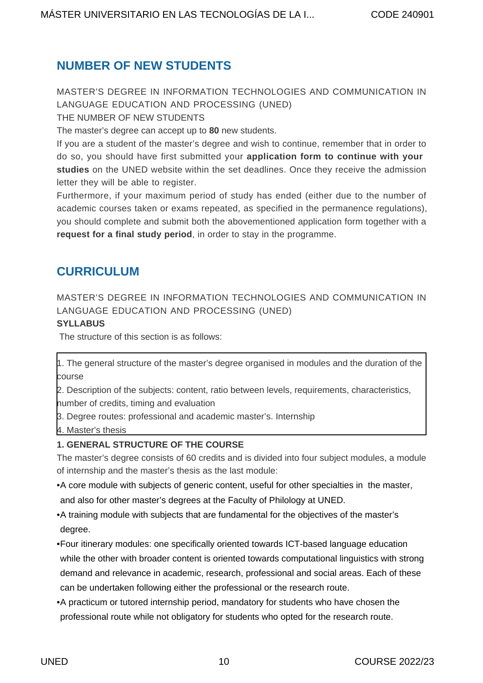## <span id="page-9-0"></span>**NUMBER OF NEW STUDENTS**

MASTER'S DEGREE IN INFORMATION TECHNOLOGIES AND COMMUNICATION IN LANGUAGE EDUCATION AND PROCESSING (UNED)

THE NUMBER OF NEW STUDENTS

The master's degree can accept up to **80** new students.

If you are a student of the master's degree and wish to continue, remember that in order to do so, you should have first submitted your **application form to continue with your studies** on the UNED website within the set deadlines. Once they receive the admission letter they will be able to register.

Furthermore, if your maximum period of study has ended (either due to the number of academic courses taken or exams repeated, as specified in the permanence regulations), you should complete and submit both the abovementioned application form together with a **request for a final study period**, in order to stay in the programme.

## <span id="page-9-1"></span>**CURRICULUM**

MASTER'S DEGREE IN INFORMATION TECHNOLOGIES AND COMMUNICATION IN LANGUAGE EDUCATION AND PROCESSING (UNED)

#### **SYLLABUS**

The structure of this section is as follows:

1. The general structure of the master's degree organised in modules and the duration of the course

2. Description of the subjects: content, ratio between levels, requirements, characteristics, number of credits, timing and evaluation

3. Degree routes: professional and academic master's. Internship

4. Master's thesis

#### **1. GENERAL STRUCTURE OF THE COURSE**

The master's degree consists of 60 credits and is divided into four subject modules, a module of internship and the master's thesis as the last module:

- A core module with subjects of generic content, useful for other specialties in the master, and also for other master's degrees at the Faculty of Philology at UNED.
- A training module with subjects that are fundamental for the objectives of the master's degree.
- Four itinerary modules: one specifically oriented towards ICT-based language education while the other with broader content is oriented towards computational linguistics with strong demand and relevance in academic, research, professional and social areas. Each of these can be undertaken following either the professional or the research route.
- A practicum or tutored internship period, mandatory for students who have chosen the professional route while not obligatory for students who opted for the research route.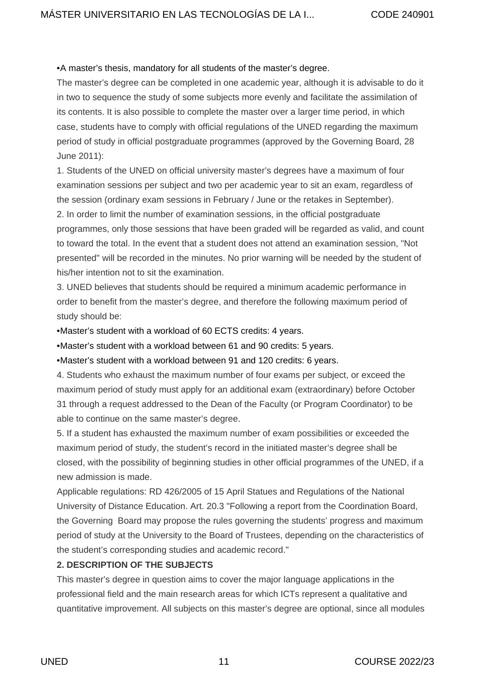#### • A master's thesis, mandatory for all students of the master's degree.

The master's degree can be completed in one academic year, although it is advisable to do it in two to sequence the study of some subjects more evenly and facilitate the assimilation of its contents. It is also possible to complete the master over a larger time period, in which case, students have to comply with official regulations of the UNED regarding the maximum period of study in official postgraduate programmes (approved by the Governing Board, 28 June 2011):

1. Students of the UNED on official university master's degrees have a maximum of four examination sessions per subject and two per academic year to sit an exam, regardless of the session (ordinary exam sessions in February / June or the retakes in September).

2. In order to limit the number of examination sessions, in the official postgraduate programmes, only those sessions that have been graded will be regarded as valid, and count to toward the total. In the event that a student does not attend an examination session, "Not presented" will be recorded in the minutes. No prior warning will be needed by the student of his/her intention not to sit the examination.

3. UNED believes that students should be required a minimum academic performance in order to benefit from the master's degree, and therefore the following maximum period of study should be:

• Master's student with a workload of 60 ECTS credits: 4 years.

• Master's student with a workload between 61 and 90 credits: 5 years.

• Master's student with a workload between 91 and 120 credits: 6 years.

4. Students who exhaust the maximum number of four exams per subject, or exceed the maximum period of study must apply for an additional exam (extraordinary) before October 31 through a request addressed to the Dean of the Faculty (or Program Coordinator) to be able to continue on the same master's degree.

5. If a student has exhausted the maximum number of exam possibilities or exceeded the maximum period of study, the student's record in the initiated master's degree shall be closed, with the possibility of beginning studies in other official programmes of the UNED, if a new admission is made.

Applicable regulations: RD 426/2005 of 15 April Statues and Regulations of the National University of Distance Education. Art. 20.3 "Following a report from the Coordination Board, the Governing Board may propose the rules governing the students' progress and maximum period of study at the University to the Board of Trustees, depending on the characteristics of the student's corresponding studies and academic record."

#### **2. DESCRIPTION OF THE SUBJECTS**

This master's degree in question aims to cover the major language applications in the professional field and the main research areas for which ICTs represent a qualitative and quantitative improvement. All subjects on this master's degree are optional, since all modules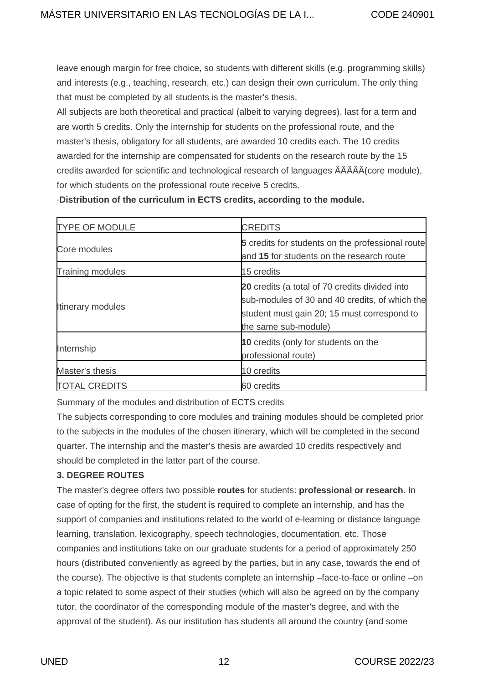leave enough margin for free choice, so students with different skills (e.g. programming skills) and interests (e.g., teaching, research, etc.) can design their own curriculum. The only thing that must be completed by all students is the master's thesis.

All subjects are both theoretical and practical (albeit to varying degrees), last for a term and are worth 5 credits. Only the internship for students on the professional route, and the master's thesis, obligatory for all students, are awarded 10 credits each. The 10 credits awarded for the internship are compensated for students on the research route by the 15 credits awarded for scientific and technological research of languages ÂÂÂÂÂ(core module), for which students on the professional route receive 5 credits.

·**Distribution of the curriculum in ECTS credits, according to the module.**

| <b>TYPE OF MODULE</b>    | <b>CREDITS</b>                                                                                                                                                          |  |  |
|--------------------------|-------------------------------------------------------------------------------------------------------------------------------------------------------------------------|--|--|
| Core modules             | <b>5</b> credits for students on the professional route<br>and 15 for students on the research route                                                                    |  |  |
| Training modules         | 15 credits                                                                                                                                                              |  |  |
| <b>Itinerary modules</b> | 20 credits (a total of 70 credits divided into<br>sub-modules of 30 and 40 credits, of which the<br>student must gain 20; 15 must correspond to<br>the same sub-module) |  |  |
| Internship               | 10 credits (only for students on the<br>professional route)                                                                                                             |  |  |
| Master's thesis          | 10 credits                                                                                                                                                              |  |  |
| <b>TOTAL CREDITS</b>     | 60 credits                                                                                                                                                              |  |  |

Summary of the modules and distribution of ECTS credits

The subjects corresponding to core modules and training modules should be completed prior to the subjects in the modules of the chosen itinerary, which will be completed in the second quarter. The internship and the master's thesis are awarded 10 credits respectively and should be completed in the latter part of the course.

#### **3. DEGREE ROUTES**

The master's degree offers two possible **routes** for students: **professional or research**. In case of opting for the first, the student is required to complete an internship, and has the support of companies and institutions related to the world of e-learning or distance language learning, translation, lexicography, speech technologies, documentation, etc. Those companies and institutions take on our graduate students for a period of approximately 250 hours (distributed conveniently as agreed by the parties, but in any case, towards the end of the course). The objective is that students complete an internship –face-to-face or online –on a topic related to some aspect of their studies (which will also be agreed on by the company tutor, the coordinator of the corresponding module of the master's degree, and with the approval of the student). As our institution has students all around the country (and some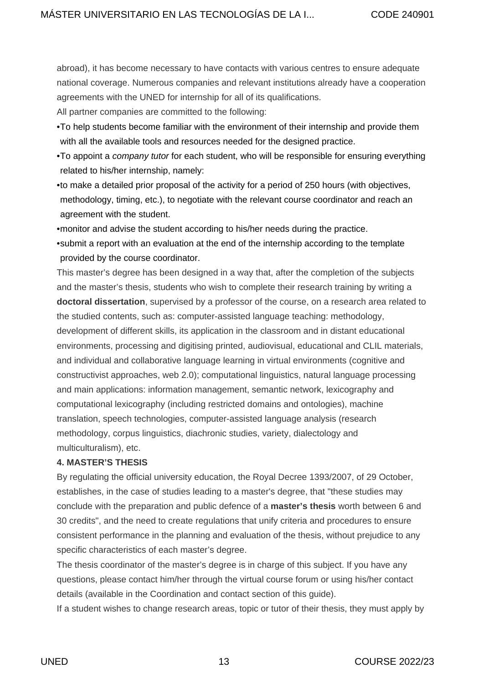abroad), it has become necessary to have contacts with various centres to ensure adequate national coverage. Numerous companies and relevant institutions already have a cooperation agreements with the UNED for internship for all of its qualifications.

All partner companies are committed to the following:

- To help students become familiar with the environment of their internship and provide them with all the available tools and resources needed for the designed practice.
- To appoint a company tutor for each student, who will be responsible for ensuring everything related to his/her internship, namely:
- to make a detailed prior proposal of the activity for a period of 250 hours (with objectives, methodology, timing, etc.), to negotiate with the relevant course coordinator and reach an agreement with the student.
- monitor and advise the student according to his/her needs during the practice.
- submit a report with an evaluation at the end of the internship according to the template provided by the course coordinator.

This master's degree has been designed in a way that, after the completion of the subjects and the master's thesis, students who wish to complete their research training by writing a **doctoral dissertation**, supervised by a professor of the course, on a research area related to the studied contents, such as: computer-assisted language teaching: methodology, development of different skills, its application in the classroom and in distant educational environments, processing and digitising printed, audiovisual, educational and CLIL materials, and individual and collaborative language learning in virtual environments (cognitive and constructivist approaches, web 2.0); computational linguistics, natural language processing and main applications: information management, semantic network, lexicography and computational lexicography (including restricted domains and ontologies), machine translation, speech technologies, computer-assisted language analysis (research methodology, corpus linguistics, diachronic studies, variety, dialectology and multiculturalism), etc.

#### **4. MASTER'S THESIS**

By regulating the official university education, the Royal Decree 1393/2007, of 29 October, establishes, in the case of studies leading to a master's degree, that "these studies may conclude with the preparation and public defence of a **master's thesis** worth between 6 and 30 credits", and the need to create regulations that unify criteria and procedures to ensure consistent performance in the planning and evaluation of the thesis, without prejudice to any specific characteristics of each master's degree.

The thesis coordinator of the master's degree is in charge of this subject. If you have any questions, please contact him/her through the virtual course forum or using his/her contact details (available in the Coordination and contact section of this guide).

If a student wishes to change research areas, topic or tutor of their thesis, they must apply by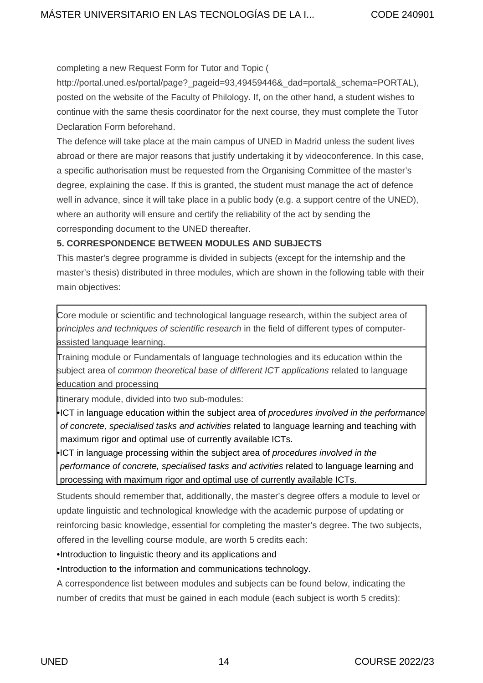completing a new Request Form for Tutor and Topic (

[http://portal.uned.es/portal/page?\\_pageid=93,49459446&\\_dad=portal&\\_schema=PORTAL](http://portal.uned.es/portal/page?_pageid=93,49459446&_dad=portal&_schema=PORTAL)), posted on the website of the Faculty of Philology. If, on the other hand, a student wishes to continue with the same thesis coordinator for the next course, they must complete the Tutor Declaration Form beforehand.

The defence will take place at the main campus of UNED in Madrid unless the sudent lives abroad or there are major reasons that justify undertaking it by videoconference. In this case, a specific authorisation must be requested from the Organising Committee of the master's degree, explaining the case. If this is granted, the student must manage the act of defence well in advance, since it will take place in a public body (e.g. a support centre of the UNED), where an authority will ensure and certify the reliability of the act by sending the corresponding document to the UNED thereafter.

#### **5. CORRESPONDENCE BETWEEN MODULES AND SUBJECTS**

This master's degree programme is divided in subjects (except for the internship and the master's thesis) distributed in three modules, which are shown in the following table with their main objectives:

Core module or scientific and technological language research, within the subject area of principles and techniques of scientific research in the field of different types of computerassisted language learning.

Training module or Fundamentals of language technologies and its education within the subject area of common theoretical base of different ICT applications related to language education and processing

Itinerary module, divided into two sub-modules:

•ICT in language education within the subject area of procedures involved in the performance of concrete, specialised tasks and activities related to language learning and teaching with maximum rigor and optimal use of currently available ICTs.

•ICT in language processing within the subject area of procedures involved in the performance of concrete, specialised tasks and activities related to language learning and processing with maximum rigor and optimal use of currently available ICTs.

Students should remember that, additionally, the master's degree offers a module to level or update linguistic and technological knowledge with the academic purpose of updating or reinforcing basic knowledge, essential for completing the master's degree. The two subjects, offered in the levelling course module, are worth 5 credits each:

• Introduction to linguistic theory and its applications and

• Introduction to the information and communications technology.

A correspondence list between modules and subjects can be found below, indicating the number of credits that must be gained in each module (each subject is worth 5 credits):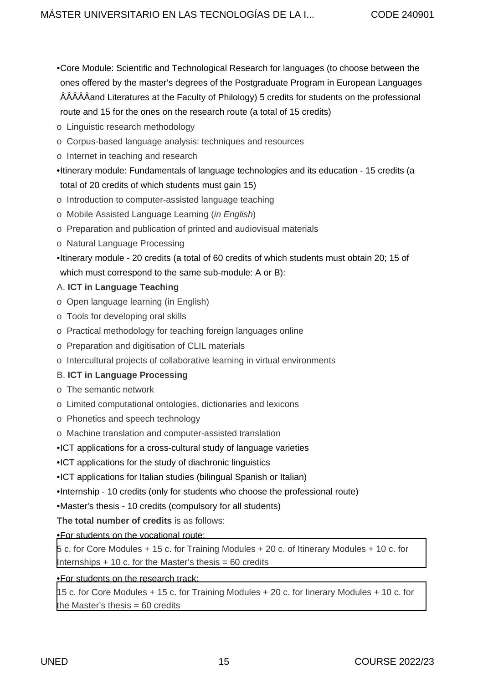- Core Module: Scientific and Technological Research for languages (to choose between the ones offered by the master's degrees of the Postgraduate Program in European Languages ÂÂÂÂÂand Literatures at the Faculty of Philology) 5 credits for students on the professional route and 15 for the ones on the research route (a total of 15 credits)
- o Linguistic research methodology
- o Corpus-based language analysis: techniques and resources
- o Internet in teaching and research

• Itinerary module: Fundamentals of language technologies and its education - 15 credits (a total of 20 credits of which students must gain 15)

- o Introduction to computer-assisted language teaching
- o Mobile Assisted Language Learning (in English)
- o Preparation and publication of printed and audiovisual materials
- o Natural Language Processing
- Itinerary module 20 credits (a total of 60 credits of which students must obtain 20; 15 of which must correspond to the same sub-module: A or B):

#### A. **ICT in Language Teaching**

- o Open language learning (in English)
- o Tools for developing oral skills
- o Practical methodology for teaching foreign languages online
- o Preparation and digitisation of CLIL materials
- o Intercultural projects of collaborative learning in virtual environments

#### B. **ICT in Language Processing**

- o The semantic network
- o Limited computational ontologies, dictionaries and lexicons
- o Phonetics and speech technology
- o Machine translation and computer-assisted translation
- ICT applications for a cross-cultural study of language varieties
- ICT applications for the study of diachronic linguistics
- ICT applications for Italian studies (bilingual Spanish or Italian)
- Internship 10 credits (only for students who choose the professional route)
- Master's thesis 10 credits (compulsory for all students)

**The total number of credits** is as follows:

• For students on the vocational route:

5 c. for Core Modules + 15 c. for Training Modules + 20 c. of Itinerary Modules + 10 c. for Internships  $+10$  c. for the Master's thesis = 60 credits

#### • For students on the research track:

15 c. for Core Modules + 15 c. for Training Modules + 20 c. for Iinerary Modules + 10 c. for the Master's thesis  $= 60$  credits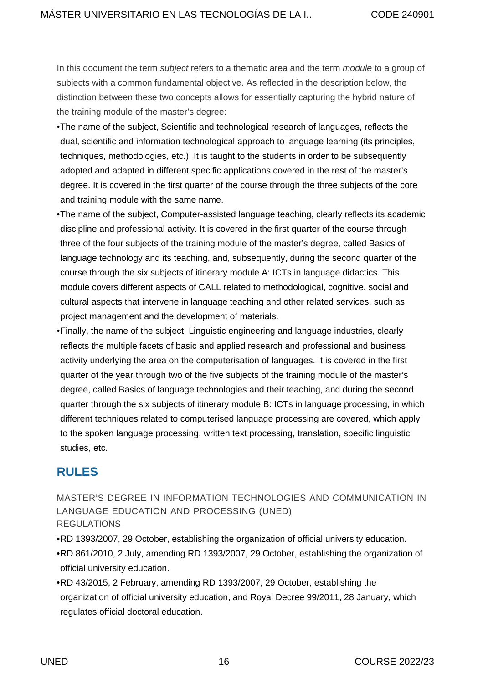In this document the term *subject* refers to a thematic area and the term *module* to a group of subjects with a common fundamental objective. As reflected in the description below, the distinction between these two concepts allows for essentially capturing the hybrid nature of the training module of the master's degree:

- The name of the subject, Scientific and technological research of languages, reflects the dual, scientific and information technological approach to language learning (its principles, techniques, methodologies, etc.). It is taught to the students in order to be subsequently adopted and adapted in different specific applications covered in the rest of the master's degree. It is covered in the first quarter of the course through the three subjects of the core and training module with the same name.
- The name of the subject, Computer-assisted language teaching, clearly reflects its academic discipline and professional activity. It is covered in the first quarter of the course through three of the four subjects of the training module of the master's degree, called Basics of language technology and its teaching, and, subsequently, during the second quarter of the course through the six subjects of itinerary module A: ICTs in language didactics. This module covers different aspects of CALL related to methodological, cognitive, social and cultural aspects that intervene in language teaching and other related services, such as project management and the development of materials.
- Finally, the name of the subject, Linguistic engineering and language industries, clearly reflects the multiple facets of basic and applied research and professional and business activity underlying the area on the computerisation of languages. It is covered in the first quarter of the year through two of the five subjects of the training module of the master's degree, called Basics of language technologies and their teaching, and during the second quarter through the six subjects of itinerary module B: ICTs in language processing, in which different techniques related to computerised language processing are covered, which apply to the spoken language processing, written text processing, translation, specific linguistic studies, etc.

## <span id="page-15-0"></span>**RULES**

MASTER'S DEGREE IN INFORMATION TECHNOLOGIES AND COMMUNICATION IN LANGUAGE EDUCATION AND PROCESSING (UNED) REGULATIONS

- [RD 1393/2007, 29 October, establishing the organization of official university education.](https://descargas.uned.es/publico/pdf/guias/posgrados/normativa/RD_1393-2007.pdf)
- [RD 861/2010, 2 July, amending RD 1393/2007, 29 October, establishing the organization of](https://descargas.uned.es/publico/pdf/guias/posgrados/normativa/RD_861-2010_MODIFICACION_DEL_RD_1393-2007.pdf) [official university education.](https://descargas.uned.es/publico/pdf/guias/posgrados/normativa/RD_861-2010_MODIFICACION_DEL_RD_1393-2007.pdf)
- [RD 43/2015, 2 February, amending RD 1393/2007, 29 October, establishing the](https://descargas.uned.es/publico/pdf/guias/posgrados/normativa/BOE-A-2015-943.pdf) [organization of official university education, and Royal Decree 99/2011, 28 January, which](https://descargas.uned.es/publico/pdf/guias/posgrados/normativa/BOE-A-2015-943.pdf) [regulates official doctoral education.](https://descargas.uned.es/publico/pdf/guias/posgrados/normativa/BOE-A-2015-943.pdf)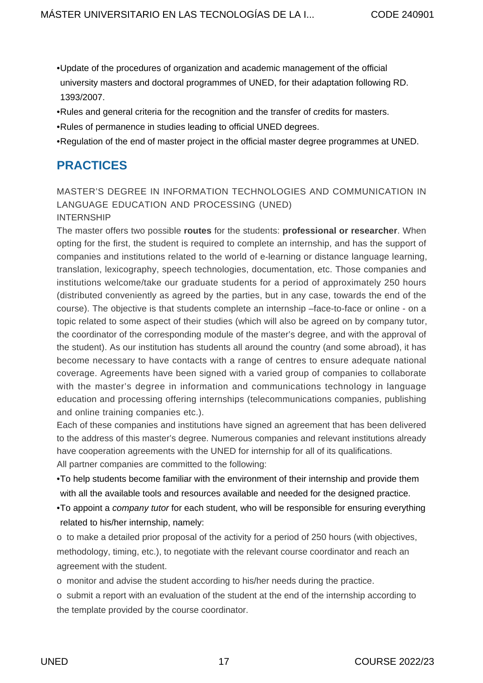- [Update of the procedures of organization and academic management of the official](https://descargas.uned.es/publico/pdf/guias/posgrados/normativa/ACTUALIZACION_1393-2007.pdf) [university masters and doctoral programmes of UNED, for their adaptation following RD.](https://descargas.uned.es/publico/pdf/guias/posgrados/normativa/ACTUALIZACION_1393-2007.pdf) [1393/2007.](https://descargas.uned.es/publico/pdf/guias/posgrados/normativa/ACTUALIZACION_1393-2007.pdf)
- [Rules and general criteria for the recognition and the transfer of credits for masters.](https://descargas.uned.es/publico/pdf/guias/posgrados/normativa/NORMAS_SOBRE_RECONOCIMIENTO_DE_CREDITOS_EN_MASTERES_OFICIALES.pdf)
- [Rules of permanence in studies leading to official UNED degrees.](https://www.uned.es/universidad/inicio/estudios/masteres/informacion-general/legislacion-normativa.html)
- [Regulation of the end of master project in the official master degree programmes at UNED.](https://descargas.uned.es/publico/pdf/guias/posgrados/normativa/TRABAJO_FIN_DE_MASTER.pdf)

## <span id="page-16-0"></span>**PRACTICES**

#### MASTER'S DEGREE IN INFORMATION TECHNOLOGIES AND COMMUNICATION IN LANGUAGE EDUCATION AND PROCESSING (UNED) INTERNSHIP

The master offers two possible **routes** for the students: **professional or researcher**. When opting for the first, the student is required to complete an internship, and has the support of companies and institutions related to the world of e-learning or distance language learning, translation, lexicography, speech technologies, documentation, etc. Those companies and institutions welcome/take our graduate students for a period of approximately 250 hours (distributed conveniently as agreed by the parties, but in any case, towards the end of the course). The objective is that students complete an internship –face-to-face or online - on a topic related to some aspect of their studies (which will also be agreed on by company tutor, the coordinator of the corresponding module of the master's degree, and with the approval of the student). As our institution has students all around the country (and some abroad), it has become necessary to have contacts with a range of centres to ensure adequate national coverage. Agreements have been signed with a varied group of companies to collaborate with the master's degree in information and communications technology in language education and processing offering internships (telecommunications companies, publishing and online training companies etc.).

Each of these companies and institutions have signed an agreement that has been delivered to the address of this master's degree. Numerous companies and relevant institutions already have cooperation agreements with the UNED for internship for all of its qualifications. All partner companies are committed to the following:

- To help students become familiar with the environment of their internship and provide them with all the available tools and resources available and needed for the designed practice.
- •To appoint a company tutor for each student, who will be responsible for ensuring everything related to his/her internship, namely:

o to make a detailed prior proposal of the activity for a period of 250 hours (with objectives, methodology, timing, etc.), to negotiate with the relevant course coordinator and reach an agreement with the student.

o monitor and advise the student according to his/her needs during the practice.

o submit a report with an evaluation of the student at the end of the internship according to the template provided by the course coordinator.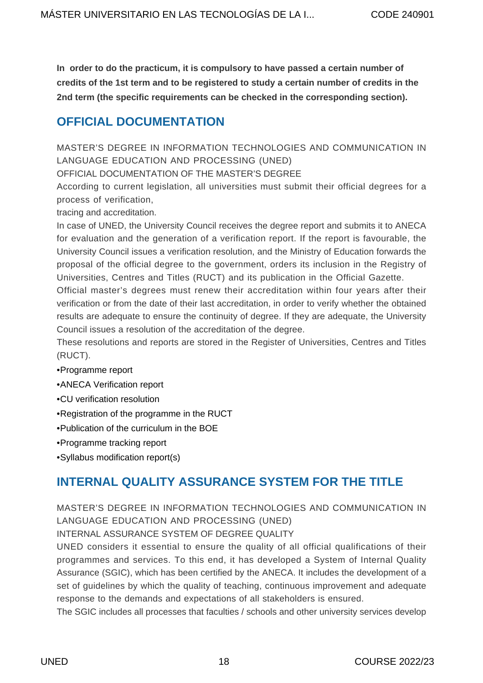**In order to do the practicum, it is compulsory to have passed a certain number of credits of the 1st term and to be registered to study a certain number of credits in the 2nd term (the specific requirements can be checked in the corresponding section).**

## <span id="page-17-0"></span>**OFFICIAL DOCUMENTATION**

MASTER'S DEGREE IN INFORMATION TECHNOLOGIES AND COMMUNICATION IN LANGUAGE EDUCATION AND PROCESSING (UNED)

OFFICIAL DOCUMENTATION OF THE MASTER'S DEGREE

According to current legislation, all universities must submit their official degrees for a process of verification,

tracing and accreditation.

In case of UNED, the University Council receives the degree report and submits it to ANECA for evaluation and the generation of a verification report. If the report is favourable, the University Council issues a verification resolution, and the Ministry of Education forwards the proposal of the official degree to the government, orders its inclusion in the Registry of Universities, Centres and Titles (RUCT) and its publication in the Official Gazette.

Official master's degrees must renew their accreditation within four years after their verification or from the date of their last accreditation, in order to verify whether the obtained results are adequate to ensure the continuity of degree. If they are adequate, the University Council issues a resolution of the accreditation of the degree.

These resolutions and reports are stored in the [Register of Universities, Centres and Titles](https://www.educacion.gob.es/ruct/home) [\(RUCT\)](https://www.educacion.gob.es/ruct/home).

- [Programme report](https://descargas.uned.es/publico/pdf/guias/posgrados/memoria_verificacion/MEMORIA_VERIFICACION_240901.pdf)
- [ANECA Verification report](https://descargas.uned.es/publico/pdf/guias/posgrados/informe_verificacion/INFORME_VERIFICACION_240901.pdf)
- [CU verification resolution](https://descargas.uned.es/publico/pdf/guias/posgrados/resolucion/RESOLUCION_2409.pdf)
- [Registration of the programme in the RUCT](https://descargas.uned.es/publico/pdf/guias/posgrados/boe/BOE_A_2011_13386_2409.pdf)
- [Publication of the curriculum in the BOE](https://descargas.uned.es/publico/pdf/guias/posgrados/boe_plan_estudios/BOE_PLAN_DE_ESTUDIOS_2409.pdf)
- [Programme tracking report](https://descargas.uned.es/publico/pdf/guias/posgrados/informe_seguimiento/INFORME_SEGUIMIENTO_2409.pdf)
- [Syllabus modification report\(s\)](https://descargas.uned.es/publico/pdf/guias/posgrados/modificacion_pe/MODIFICACION_PE_2409.pdf)

## <span id="page-17-1"></span>**INTERNAL QUALITY ASSURANCE SYSTEM FOR THE TITLE**

MASTER'S DEGREE IN INFORMATION TECHNOLOGIES AND COMMUNICATION IN LANGUAGE EDUCATION AND PROCESSING (UNED)

INTERNAL ASSURANCE SYSTEM OF DEGREE QUALITY

UNED considers it essential to ensure the quality of all official qualifications of their programmes and services. To this end, it has developed a System of Internal Quality Assurance (SGIC), which has been certified by the ANECA. It includes the development of a set of guidelines by which the quality of teaching, continuous improvement and adequate response to the demands and expectations of all stakeholders is ensured.

The SGIC includes all processes that faculties / schools and other university services develop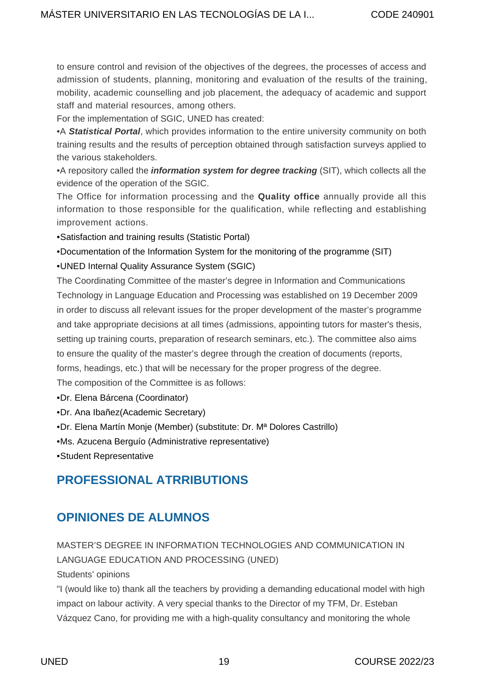to ensure control and revision of the objectives of the degrees, the processes of access and admission of students, planning, monitoring and evaluation of the results of the training, mobility, academic counselling and job placement, the adequacy of academic and support staff and material resources, among others.

For the implementation of SGIC, UNED has created:

•A **Statistical Portal**, which provides information to the entire university community on both training results and the results of perception obtained through satisfaction surveys applied to the various stakeholders.

•A repository called the **information system for degree tracking** (SIT), which collects all the evidence of the operation of the SGIC.

The Office for information processing and the **[Quality office](http://portal.uned.es/portal/page?_pageid=93,25882510&_dad=portal&_schema=PORTAL)** annually provide all this information to those responsible for the qualification, while reflecting and establishing improvement actions.

• [Satisfaction and training results \(Statistic Portal\)](https://app.uned.es/evacaldos/)

• [Documentation of the Information System for the monitoring of the programme \(SIT\)](http://www.innova.uned.es/dotlrn/clubs/sistemadeinformacinparaelseguimientodetitulacionessit/facultaddefilologa2/masteruentecnologasdelainformacinylacomunicacinenlaenseanzaytratlenguas2/portlet-view?page_num=255611459)

• [UNED Internal Quality Assurance System \(SGIC\)](https://www.uned.es/universidad/facultades/filologia/bienvenida/facultad/calidad.html)

The Coordinating Committee of the master's degree in Information and Communications Technology in Language Education and Processing was established on 19 December 2009 in order to discuss all relevant issues for the proper development of the master's programme and take appropriate decisions at all times (admissions, appointing tutors for master's thesis, setting up training courts, preparation of research seminars, etc.). The committee also aims to ensure the quality of the master's degree through the creation of documents (reports, forms, headings, etc.) that will be necessary for the proper progress of the degree.

The composition of the Committee is as follows:

- Dr. Elena Bárcena (Coordinator)
- Dr. Ana Ibañez(Academic Secretary)
- Dr. Elena Martín Monje (Member) (substitute: Dr. Mª Dolores Castrillo)
- Ms. Azucena Berguío (Administrative representative)
- Student Representative

## <span id="page-18-0"></span>**PROFESSIONAL ATRRIBUTIONS**

## <span id="page-18-1"></span>**OPINIONES DE ALUMNOS**

MASTER'S DEGREE IN INFORMATION TECHNOLOGIES AND COMMUNICATION IN LANGUAGE EDUCATION AND PROCESSING (UNED) Students' opinions

"I (would like to) thank all the teachers by providing a demanding educational model with high impact on labour activity. A very special thanks to the Director of my TFM, Dr. Esteban Vázquez Cano, for providing me with a high-quality consultancy and monitoring the whole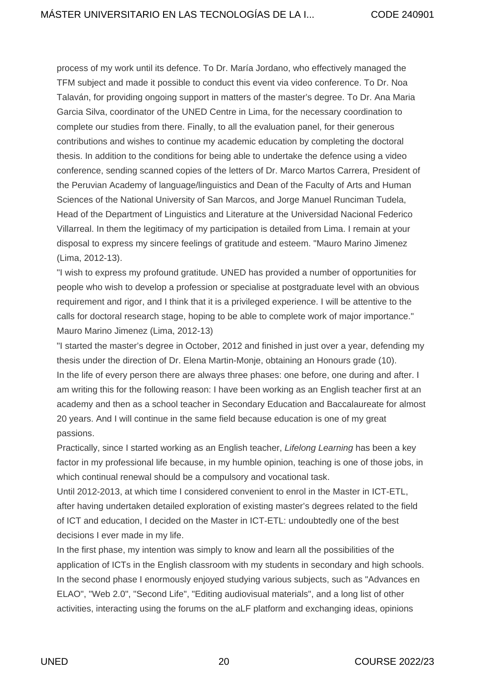process of my work until its defence. To Dr. María Jordano, who effectively managed the TFM subject and made it possible to conduct this event via video conference. To Dr. Noa Talaván, for providing ongoing support in matters of the master's degree. To Dr. Ana Maria Garcia Silva, coordinator of the UNED Centre in Lima, for the necessary coordination to complete our studies from there. Finally, to all the evaluation panel, for their generous contributions and wishes to continue my academic education by completing the doctoral thesis. In addition to the conditions for being able to undertake the defence using a video conference, sending scanned copies of the letters of Dr. Marco Martos Carrera, President of the Peruvian Academy of language/linguistics and Dean of the Faculty of Arts and Human Sciences of the National University of San Marcos, and Jorge Manuel Runciman Tudela, Head of the Department of Linguistics and Literature at the Universidad Nacional Federico Villarreal. In them the legitimacy of my participation is detailed from Lima. I remain at your disposal to express my sincere feelings of gratitude and esteem. "Mauro Marino Jimenez (Lima, 2012-13).

"I wish to express my profound gratitude. UNED has provided a number of opportunities for people who wish to develop a profession or specialise at postgraduate level with an obvious requirement and rigor, and I think that it is a privileged experience. I will be attentive to the calls for doctoral research stage, hoping to be able to complete work of major importance." Mauro Marino Jimenez (Lima, 2012-13)

"I started the master's degree in October, 2012 and finished in just over a year, defending my thesis under the direction of Dr. Elena Martin-Monje, obtaining an Honours grade (10). In the life of every person there are always three phases: one before, one during and after. I am writing this for the following reason: I have been working as an English teacher first at an academy and then as a school teacher in Secondary Education and Baccalaureate for almost 20 years. And I will continue in the same field because education is one of my great passions.

Practically, since I started working as an English teacher, Lifelong Learning has been a key factor in my professional life because, in my humble opinion, teaching is one of those jobs, in which continual renewal should be a compulsory and vocational task.

Until 2012-2013, at which time I considered convenient to enrol in the Master in ICT-ETL, after having undertaken detailed exploration of existing master's degrees related to the field of ICT and education, I decided on the Master in ICT-ETL: undoubtedly one of the best decisions I ever made in my life.

In the first phase, my intention was simply to know and learn all the possibilities of the application of ICTs in the English classroom with my students in secondary and high schools. In the second phase I enormously enjoyed studying various subjects, such as "Advances en ELAO", "Web 2.0", "Second Life", "Editing audiovisual materials", and a long list of other activities, interacting using the forums on the aLF platform and exchanging ideas, opinions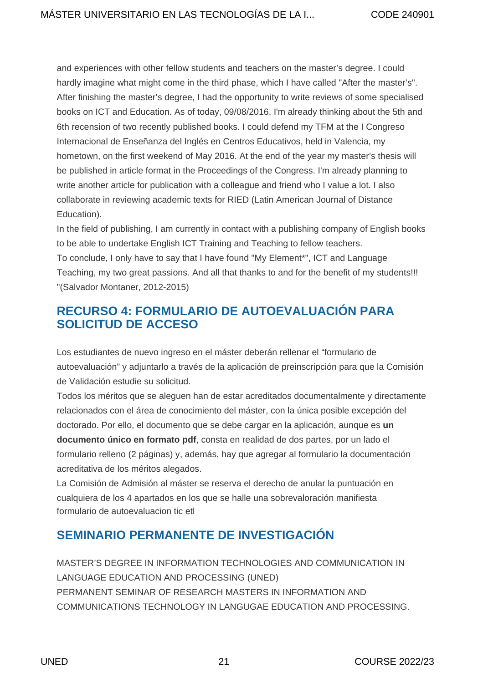and experiences with other fellow students and teachers on the master's degree. I could hardly imagine what might come in the third phase, which I have called "After the master's". After finishing the master's degree, I had the opportunity to write reviews of some specialised books on ICT and Education. As of today, 09/08/2016, I'm already thinking about the 5th and 6th recension of two recently published books. I could defend my TFM at the [I Congreso](http://www.congresoeice2016.com/) [Internacional de Enseñanza del Inglés en Centros Educativos](http://www.congresoeice2016.com/), held in Valencia, my hometown, on the first weekend of May 2016. At the end of the year my master's thesis will be published in article format in the Proceedings of the Congress. I'm already planning to write another article for publication with a colleague and friend who I value a lot. I also collaborate in reviewing academic texts for [RIED](http://ried.utpl.edu.ec/) (Latin American Journal of Distance Education).

In the field of publishing, I am currently in contact with a publishing company of English books to be able to undertake English ICT Training and Teaching to fellow teachers. To conclude, I only have to say that I have found "My Element\*", ICT and Language

Teaching, my two great passions. And all that thanks to and for the benefit of my students!!! "(Salvador Montaner, 2012-2015)

## <span id="page-20-0"></span>**RECURSO 4: FORMULARIO DE AUTOEVALUACIÓN PARA SOLICITUD DE ACCESO**

Los estudiantes de nuevo ingreso en el máster deberán rellenar el "formulario de autoevaluación" y adjuntarlo a través de la aplicación de preinscripción para que la Comisión de Validación estudie su solicitud.

Todos los méritos que se aleguen han de estar acreditados documentalmente y directamente relacionados con el área de conocimiento del máster, con la única posible excepción del doctorado. Por ello, el documento que se debe cargar en la aplicación, aunque es **un documento único en formato pdf**, consta en realidad de dos partes, por un lado el formulario relleno (2 páginas) y, además, hay que agregar al formulario la documentación acreditativa de los méritos alegados.

La Comisión de Admisión al máster se reserva el derecho de anular la puntuación en cualquiera de los 4 apartados en los que se halle una sobrevaloración manifiesta [formulario de autoevaluacion tic etl](https://descargas.uned.es/publico/pdf/guias/posgrados/240901/formulario_autoevaluacion_tic_etl.pdf)

## <span id="page-20-1"></span>**SEMINARIO PERMANENTE DE INVESTIGACIÓN**

MASTER'S DEGREE IN INFORMATION TECHNOLOGIES AND COMMUNICATION IN LANGUAGE EDUCATION AND PROCESSING (UNED) PERMANENT SEMINAR OF RESEARCH MASTERS IN INFORMATION AND COMMUNICATIONS TECHNOLOGY IN LANGUGAE EDUCATION AND PROCESSING.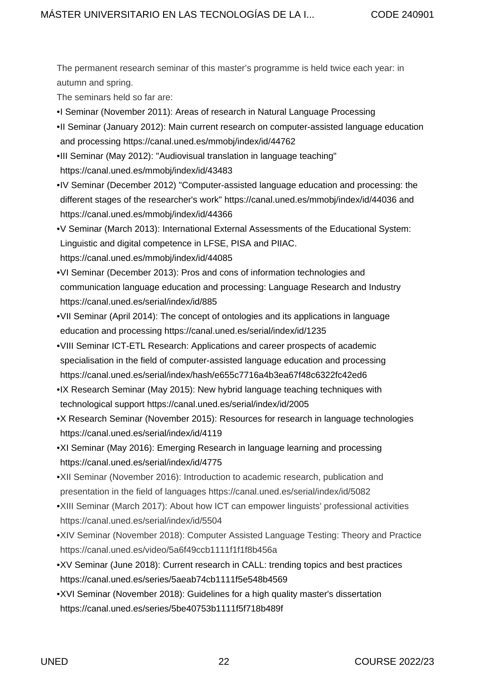The permanent research seminar of this master's programme is held twice each year: in autumn and spring.

The seminars held so far are:

- I Seminar (November 2011): Areas of research in Natural Language Processing
- II Seminar (January 2012): Main current research on computer-assisted language education and processing <https://canal.uned.es/mmobj/index/id/44762>
- III Seminar (May 2012): "Audiovisual translation in language teaching" <https://canal.uned.es/mmobj/index/id/43483>
- IV Seminar (December 2012) "Computer-assisted language education and processing: the different stages of the researcher's work"<https://canal.uned.es/mmobj/index/id/44036>and <https://canal.uned.es/mmobj/index/id/44366>
- V Seminar (March 2013): International External Assessments of the Educational System: Linguistic and digital competence in LFSE, PISA and PIIAC. <https://canal.uned.es/mmobj/index/id/44085>
- VI Seminar (December 2013): Pros and cons of information technologies and communication language education and processing: Language Research and Industry <https://canal.uned.es/serial/index/id/885>
- VII Seminar (April 2014): The concept of ontologies and its applications in language education and processing <https://canal.uned.es/serial/index/id/1235>
- VIII Seminar ICT-ETL Research: Applications and career prospects of academic specialisation in the field of computer-assisted language education and processing <https://canal.uned.es/serial/index/hash/e655c7716a4b3ea67f48c6322fc42ed6>
- IX Research Seminar (May 2015): New hybrid language teaching techniques with technological support<https://canal.uned.es/serial/index/id/2005>
- X Research Seminar (November 2015): Resources for research in language technologies <https://canal.uned.es/serial/index/id/4119>
- XI Seminar (May 2016): Emerging Research in language learning and processing <https://canal.uned.es/serial/index/id/4775>
- XII Seminar (November 2016): Introduction to academic research, publication and presentation in the field of languages<https://canal.uned.es/serial/index/id/5082>
- XIII Seminar (March 2017): About how ICT can empower linguists' professional activities <https://canal.uned.es/serial/index/id/5504>
- XIV Seminar (November 2018): Computer Assisted Language Testing: Theory and Practice <https://canal.uned.es/video/5a6f49ccb1111f1f1f8b456a>
- XV Seminar (June 2018): Current research in CALL: trending topics and best practices <https://canal.uned.es/series/5aeab74cb1111f5e548b4569>
- XVI Seminar (November 2018): Guidelines for a high quality master's dissertation <https://canal.uned.es/series/5be40753b1111f5f718b489f>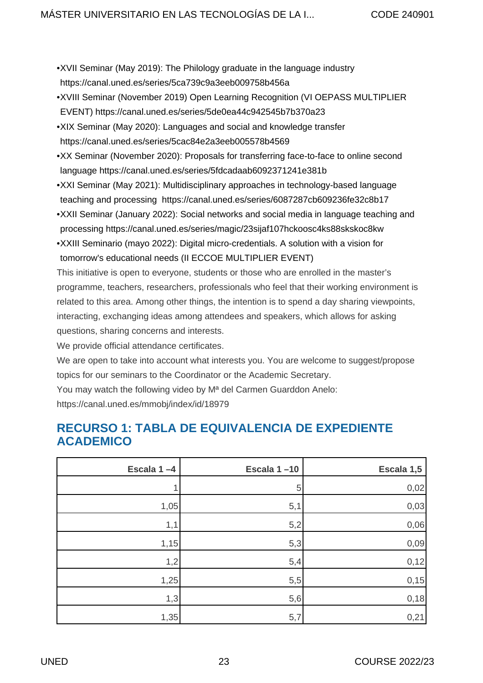- XVII Seminar (May 2019): The Philology graduate in the language industry <https://canal.uned.es/series/5ca739c9a3eeb009758b456a>
- XVIII Seminar (November 2019) Open Learning Recognition (VI OEPASS MULTIPLIER EVENT) <https://canal.uned.es/series/5de0ea44c942545b7b370a23>
- XIX Seminar (May 2020): Languages and social and knowledge transfer <https://canal.uned.es/series/5cac84e2a3eeb005578b4569>
- XX Seminar (November 2020): Proposals for transferring face-to-face to online second language <https://canal.uned.es/series/5fdcadaab6092371241e381b>
- XXI Seminar (May 2021): Multidisciplinary approaches in technology-based language teaching and processing <https://canal.uned.es/series/6087287cb609236fe32c8b17>
- XXII Seminar (January 2022): Social networks and social media in language teaching and processing<https://canal.uned.es/series/magic/23sijaf107hckoosc4ks88skskoc8kw>
- XXIII Seminario (mayo 2022): Digital micro-credentials. A solution with a vision for tomorrow's educational needs (II ECCOE MULTIPLIER EVENT)

This initiative is open to everyone, students or those who are enrolled in the master's programme, teachers, researchers, professionals who feel that their working environment is related to this area. Among other things, the intention is to spend a day sharing viewpoints, interacting, exchanging ideas among attendees and speakers, which allows for asking questions, sharing concerns and interests.

We provide official attendance certificates.

We are open to take into account what interests you. You are welcome to suggest/propose topics for our seminars to the Coordinator or the Academic Secretary.

You may watch the following video by Mª del Carmen Guarddon Anelo: <https://canal.uned.es/mmobj/index/id/18979>

## <span id="page-22-0"></span>**RECURSO 1: TABLA DE EQUIVALENCIA DE EXPEDIENTE ACADEMICO**

| Escala 1-4 | Escala 1-10 | Escala 1,5 |
|------------|-------------|------------|
|            | 5           | 0,02       |
| 1,05       | 5,1         | 0,03       |
| 1,1        | 5,2         | 0,06       |
| 1,15       | 5,3         | 0,09       |
| 1,2        | 5,4         | 0,12       |
| 1,25       | 5,5         | 0,15       |
| 1,3        | 5,6         | 0,18       |
| 1,35       | 5,7         | 0,21       |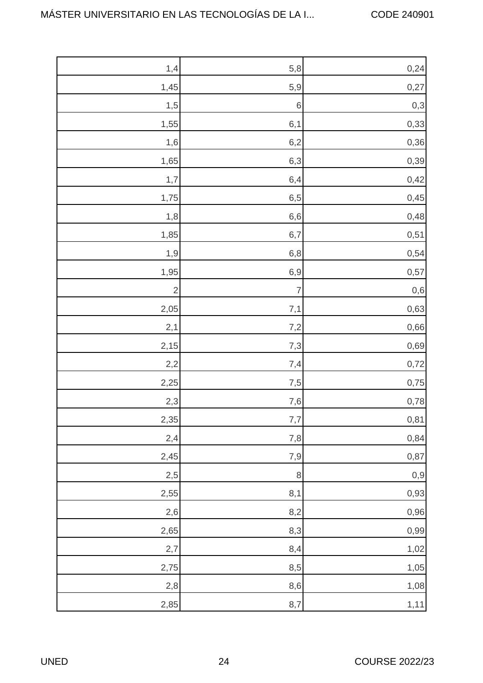| 1,4            | 5,8            | 0,24     |
|----------------|----------------|----------|
| 1,45           | 5,9            | 0,27     |
| 1,5            | $\,$ 6 $\,$    | $0,3$    |
| 1,55           | 6,1            | 0,33     |
| 1,6            | 6,2            | 0,36     |
| 1,65           | 6,3            | 0,39     |
| 1,7            | 6,4            | 0,42     |
| 1,75           | $6,5$          | 0,45     |
| 1,8            | $6, 6$         | 0,48     |
| 1,85           | 6,7            | 0,51     |
| 1,9            | $6,8$          | 0,54     |
| 1,95           | 6,9            | 0,57     |
| $\overline{c}$ | $\overline{7}$ | $0,6$    |
| 2,05           | 7,1            | 0,63     |
| 2,1            | 7,2            | 0,66     |
| 2,15           | 7,3            | 0,69     |
| 2,2            | 7,4            | 0,72     |
| 2,25           | 7,5            | 0,75     |
| 2,3            | 7,6            | 0,78     |
| 2,35           | 7,7            | 0,81     |
| 2,4            | 7,8            | 0,84     |
| 2,45           | 7,9            | 0,87     |
| 2,5            | $\, 8$         | $_{0,9}$ |
| 2,55           | 8,1            | 0,93     |
| 2,6            | 8,2            | 0,96     |
| 2,65           | 8,3            | 0,99     |
| 2,7            | 8,4            | 1,02     |
| 2,75           | 8,5            | 1,05     |
| 2,8            | 8,6            | 1,08     |
| 2,85           | 8,7            | 1,11     |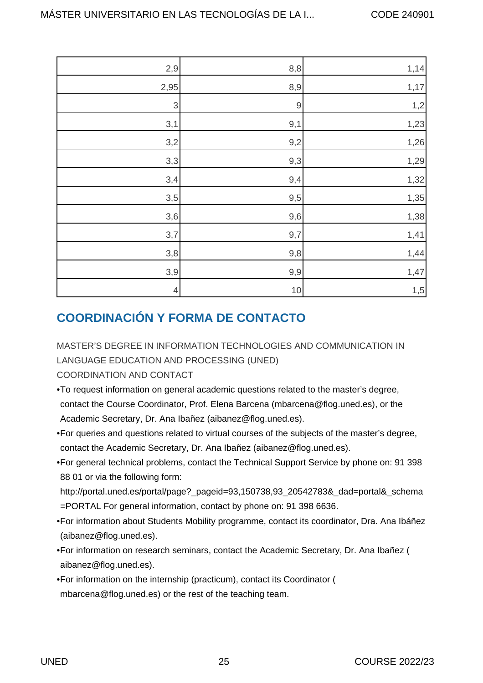| 2,9                       | 8,8         | 1,14 |
|---------------------------|-------------|------|
| 2,95                      | 8,9         | 1,17 |
| $\ensuremath{\mathsf{3}}$ | $\mathbf 9$ | 1,2  |
| 3,1                       | 9,1         | 1,23 |
| 3,2                       | 9,2         | 1,26 |
| 3,3                       | 9,3         | 1,29 |
| 3,4                       | 9,4         | 1,32 |
| 3,5                       | 9,5         | 1,35 |
| 3,6                       | 9,6         | 1,38 |
| 3,7                       | 9,7         | 1,41 |
| 3,8                       | 9,8         | 1,44 |
| 3,9                       | 9,9         | 1,47 |
| $\overline{a}$            | 10          | 1,5  |

## <span id="page-24-0"></span>**COORDINACIÓN Y FORMA DE CONTACTO**

MASTER'S DEGREE IN INFORMATION TECHNOLOGIES AND COMMUNICATION IN LANGUAGE EDUCATION AND PROCESSING (UNED)

COORDINATION AND CONTACT

- To request information on general academic questions related to the master's degree, contact the Course Coordinator, Prof. Elena Barcena [\(mbarcena@flog.uned.es](mailto:mbarcena@flog.uned.es)), or the Academic Secretary, Dr. Ana Ibañez ([aibanez](http://aibanez@flog.uned.es)[@flog.uned.es](mailto:margarita.goded@flog.uned.es)).
- For queries and questions related to virtual courses of the subjects of the master's degree, contact the Academic Secretary, Dr. Ana Ibañez ([aibanez@flog.uned.es](mailto:margarita.goded@flog.uned.es)).
- For general technical problems, contact the Technical Support Service by phone on: 91 398 88 01 or via the following form:

[http://portal.uned.es/portal/page?\\_pageid=93,150738,93\\_20542783&\\_dad=portal&\\_schema](http://portal.uned.es/portal/page?_pageid=93,150738,93_20542783&_dad=portal&_schema=PORTAL) [=PORTAL](http://portal.uned.es/portal/page?_pageid=93,150738,93_20542783&_dad=portal&_schema=PORTAL) For general information, contact by phone on: 91 398 6636.

- For information about Students Mobility programme, contact its coordinator, Dra. Ana Ibáñez ([aibanez@flog.uned.es](mailto:aibanez@flog.uned.es)).
- For information on research seminars, contact the Academic Secretary, Dr. Ana Ibañez ( [aibanez@flog.uned.es\)](http://aibanez@flog.uned.es�������������������������������¢����������������������������������������������������������������).
- For information on the internship (practicum), contact its Coordinator ( [mbarcena@flog.uned.es](http://mbarcena@flog.uned.es)) or the rest of the teaching team.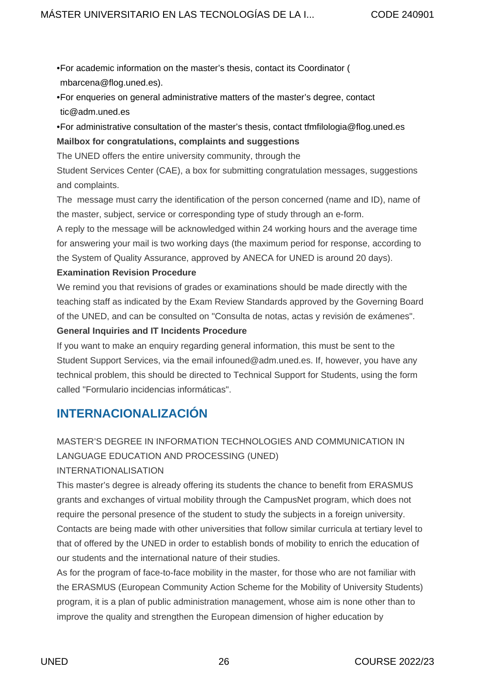- For academic information on the master's thesis, contact its Coordinator ( <mbarcena@flog.uned.es>).
- For enqueries on general administrative matters of the master's degree, contact [tic@adm.uned.es](mailto:tic@adm.uned.es)
- For administrative consultation of the master's thesis, contact [tfmfilologia@flog.uned.es](mailto:tfmfilologia@flog.uned.es) **Mailbox for congratulations, complaints and suggestions**

The UNED offers the entire university community, through the

Student Services Center (CAE), a box for submitting congratulation messages, suggestions and complaints.

The message must carry the identification of the person concerned (name and ID), name of the master, subject, service or corresponding type of study through an e-form.

A reply to the message will be acknowledged within 24 working hours and the average time for answering your mail is two working days (the maximum period for response, according to the System of Quality Assurance, approved by ANECA for UNED is around 20 days).

#### **Examination Revision Procedure**

We remind you that revisions of grades or examinations should be made directly with the teaching staff as indicated by the Exam Review Standards approved by the Governing Board of the UNED, and can be consulted on "Consulta de notas, actas y revisión de exámenes".

#### **General Inquiries and IT Incidents Procedure**

If you want to make an enquiry regarding general information, this must be sent to the Student Support Services, via the email [infouned@adm.uned.es.](http://��infouned@adm.uned.es) If, however, you have any technical problem, this should be directed to Technical Support for Students, using the form called "Formulario incidencias informáticas".

## <span id="page-25-0"></span>**INTERNACIONALIZACIÓN**

### MASTER'S DEGREE IN INFORMATION TECHNOLOGIES AND COMMUNICATION IN LANGUAGE EDUCATION AND PROCESSING (UNED)

#### INTERNATIONALISATION

This master's degree is already offering its students the chance to benefit from ERASMUS grants and exchanges of virtual mobility through the CampusNet program, which does not require the personal presence of the student to study the subjects in a foreign university. Contacts are being made with other universities that follow similar curricula at tertiary level to that of offered by the UNED in order to establish bonds of mobility to enrich the education of our students and the international nature of their studies.

As for the program of face-to-face mobility in the master, for those who are not familiar with the ERASMUS (European Community Action Scheme for the Mobility of University Students) program, it is a plan of public administration management, whose aim is none other than to improve the quality and strengthen the European dimension of higher education by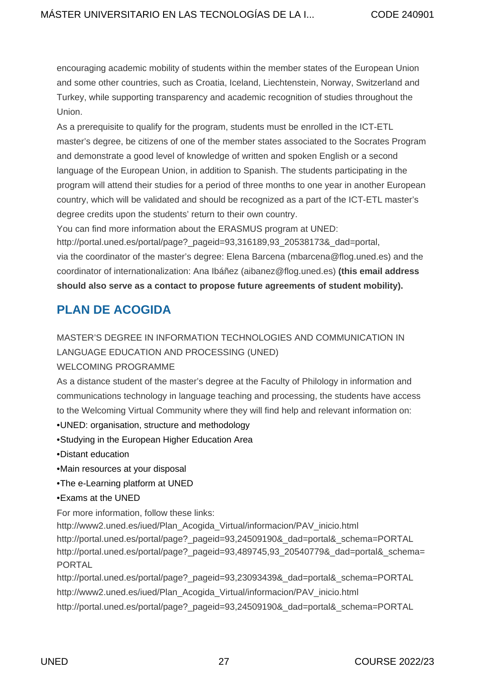encouraging academic mobility of students within the member states of the European Union and some other countries, such as Croatia, Iceland, Liechtenstein, Norway, Switzerland and Turkey, while supporting transparency and academic recognition of studies throughout the Union.

As a prerequisite to qualify for the program, students must be enrolled in the ICT-ETL master's degree, be citizens of one of the member states associated to the Socrates Program and demonstrate a good level of knowledge of written and spoken English or a second language of the European Union, in addition to Spanish. The students participating in the program will attend their studies for a period of three months to one year in another European country, which will be validated and should be recognized as a part of the ICT-ETL master's degree credits upon the students' return to their own country.

You can find more information about the ERASMUS program at UNED:

[http://portal.uned.es/portal/page?\\_pageid=93,316189,93\\_20538173&\\_dad=portal](http://portal.uned.es/portal/page?_pageid=93,316189,93_20538173&_dad=portal), via the coordinator of the master's degree: Elena Barcena (mbarcena@flog.uned.es) and the coordinator of internationalization: Ana Ibáñez ([aibanez@flog.uned.es](mailto:aibanez@flog.uned.es)) **(this email address should also serve as a contact to propose future agreements of student mobility).**

## <span id="page-26-0"></span>**PLAN DE ACOGIDA**

MASTER'S DEGREE IN INFORMATION TECHNOLOGIES AND COMMUNICATION IN

LANGUAGE EDUCATION AND PROCESSING (UNED)

#### WELCOMING PROGRAMME

As a distance student of the master's degree at the Faculty of Philology in information and communications technology in language teaching and processing, the students have access to the Welcoming Virtual Community where they will find help and relevant information on:

- UNED: organisation, structure and methodology
- Studying in the European Higher Education Area
- Distant education
- Main resources at your disposal
- The e-Learning platform at UNED
- Exams at the UNED

For more information, follow these links:

[http://www2.uned.es/iued/Plan\\_Acogida\\_Virtual/informacion/PAV\\_inicio.html](http://www2.uned.es/iued/Plan_Acogida_Virtual/informacion/PAV_inicio.html) [http://portal.uned.es/portal/page?\\_pageid=93,24509190&\\_dad=portal&\\_schema=PORTAL](http://portal.uned.es/portal/page?_pageid=93,24509190&_dad=portal&_schema=PORTAL) http://portal.uned.es/portal/page? pageid=93,489745,93 20540779& dad=portal& schema= [PORTAL](http://portal.uned.es/portal/page?_pageid=93,489745,93_20540779&_dad=portal&_schema=PORTAL)

http://portal.uned.es/portal/page?\_pageid=93.23093439&\_dad=portal&\_schema=PORTAL http://www2.uned.es/iued/Plan\_Acogida\_Virtual/informacion/PAV\_inicio.html http://portal.uned.es/portal/page?\_pageid=93,24509190&\_dad=portal&\_schema=PORTAL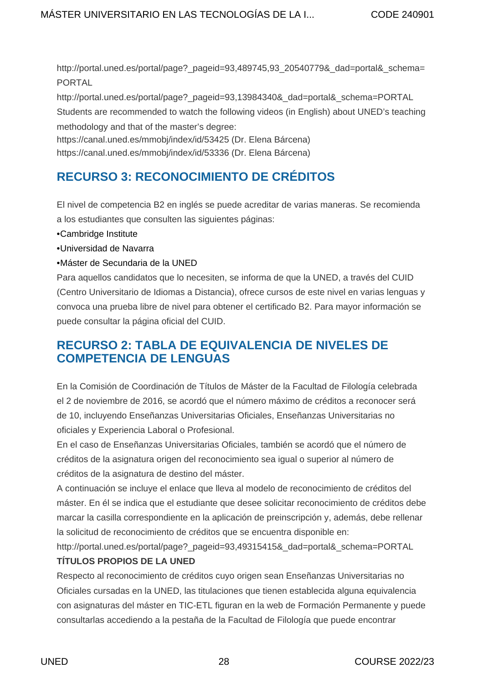http://portal.uned.es/portal/page?\_pageid=93.489745,93\_20540779&\_dad=portal&\_schema= PORTAL

http://portal.uned.es/portal/page?\_pageid=93.13984340&\_dad=portal&\_schema=PORTAL Students are recommended to watch the following videos (in English) about UNED's teaching methodology and that of the master's degree:

<https://canal.uned.es/mmobj/index/id/53425> (Dr. Elena Bárcena)

<https://canal.uned.es/mmobj/index/id/53336> (Dr. Elena Bárcena)

## <span id="page-27-0"></span>**RECURSO 3: RECONOCIMIENTO DE CRÉDITOS**

El nivel de competencia B2 en inglés se puede acreditar de varias maneras. Se recomienda a los estudiantes que consulten las siguientes páginas:

- [Cambridge Institute](http://www.cambridgeinstitute.net/es/tests-de-nivel-espanol/test-nivel-ingles/nivel-ingles-test-espanol)
- [Universidad de Navarra](https://www.unavarra.es/digitalAssets/102/102729_100000tabla_equivalencias.pdf)
- [Máster de Secundaria de la UNED](http://portal.uned.es/portal/page?_pageid=93,22894013&_dad=portal)

Para aquellos candidatos que lo necesiten, se informa de que la UNED, a través del CUID (Centro Universitario de Idiomas a Distancia), ofrece cursos de este nivel en varias lenguas y convoca una prueba libre de nivel para obtener el certificado B2. Para mayor información se puede consultar la página oficial del [CUID.](http://portal.uned.es/portal/page?_pageid=93,1049935&_dad=portal&_schema=PORTAL)

## <span id="page-27-1"></span>**RECURSO 2: TABLA DE EQUIVALENCIA DE NIVELES DE COMPETENCIA DE LENGUAS**

En la Comisión de Coordinación de Títulos de Máster de la Facultad de Filología celebrada el 2 de noviembre de 2016, se acordó que el número máximo de créditos a reconocer será de 10, incluyendo Enseñanzas Universitarias Oficiales, Enseñanzas Universitarias no oficiales y Experiencia Laboral o Profesional.

En el caso de Enseñanzas Universitarias Oficiales, también se acordó que el número de créditos de la asignatura origen del reconocimiento sea igual o superior al número de créditos de la asignatura de destino del máster.

A continuación se incluye el enlace que lleva al modelo de reconocimiento de créditos del máster. En él se indica que el estudiante que desee solicitar reconocimiento de créditos debe marcar la casilla correspondiente en la aplicación de preinscripción y, además, debe rellenar la solicitud de reconocimiento de créditos que se encuentra disponible en:

http://portal.uned.es/portal/page? pageid=93,49315415& dad=portal& schema=PORTAL **TÍTULOS PROPIOS DE LA UNED**

Respecto al reconocimiento de créditos cuyo origen sean Enseñanzas Universitarias no Oficiales cursadas en la UNED, las titulaciones que tienen establecida alguna equivalencia con asignaturas del máster en TIC-ETL figuran en la web de Formación Permanente y puede consultarlas accediendo a la pestaña de la Facultad de Filología que puede encontrar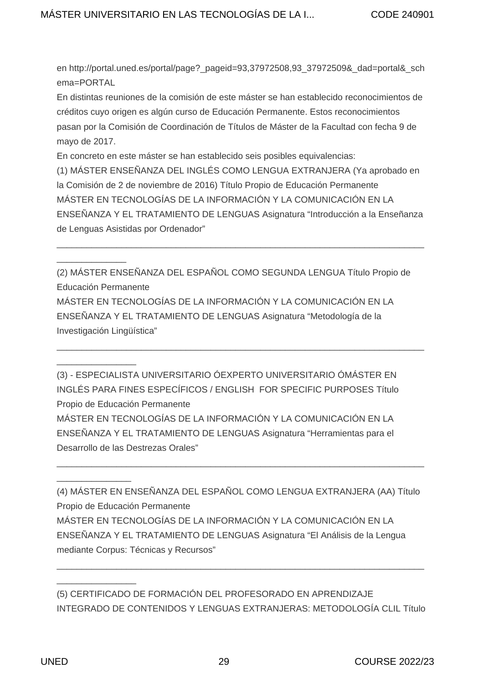en http://portal.uned.es/portal/page?\_pageid=93,37972508,93\_37972509&\_dad=portal&\_sch ema=PORTAL

En distintas reuniones de la comisión de este máster se han establecido reconocimientos de créditos cuyo origen es algún curso de Educación Permanente. Estos reconocimientos pasan por la Comisión de Coordinación de Títulos de Máster de la Facultad con fecha 9 de mayo de 2017.

En concreto en este máster se han establecido seis posibles equivalencias:

(1) MÁSTER ENSEÑANZA DEL INGLÉS COMO LENGUA EXTRANJERA (Ya aprobado en la Comisión de 2 de noviembre de 2016) Título Propio de Educación Permanente MÁSTER EN TECNOLOGÍAS DE LA INFORMACIÓN Y LA COMUNICACIÓN EN LA ENSEÑANZA Y EL TRATAMIENTO DE LENGUAS Asignatura "Introducción a la Enseñanza de Lenguas Asistidas por Ordenador"

\_\_\_\_\_\_\_\_\_\_\_\_\_\_\_\_\_\_\_\_\_\_\_\_\_\_\_\_\_\_\_\_\_\_\_\_\_\_\_\_\_\_\_\_\_\_\_\_\_\_\_\_\_\_\_\_\_\_\_\_\_\_\_\_\_\_\_\_\_\_\_\_\_\_

(2) MÁSTER ENSEÑANZA DEL ESPAÑOL COMO SEGUNDA LENGUA Título Propio de Educación Permanente MÁSTER EN TECNOLOGÍAS DE LA INFORMACIÓN Y LA COMUNICACIÓN EN LA ENSEÑANZA Y EL TRATAMIENTO DE LENGUAS Asignatura "Metodología de la Investigación Lingüística"

\_\_\_\_\_\_\_\_\_\_\_\_\_\_\_\_\_\_\_\_\_\_\_\_\_\_\_\_\_\_\_\_\_\_\_\_\_\_\_\_\_\_\_\_\_\_\_\_\_\_\_\_\_\_\_\_\_\_\_\_\_\_\_\_\_\_\_\_\_\_\_\_\_\_

(3) - ESPECIALISTA UNIVERSITARIO ÓEXPERTO UNIVERSITARIO ÓMÁSTER EN INGLÉS PARA FINES ESPECÍFICOS / ENGLISH FOR SPECIFIC PURPOSES Título Propio de Educación Permanente MÁSTER EN TECNOLOGÍAS DE LA INFORMACIÓN Y LA COMUNICACIÓN EN LA ENSEÑANZA Y EL TRATAMIENTO DE LENGUAS Asignatura "Herramientas para el Desarrollo de las Destrezas Orales"

(4) MÁSTER EN ENSEÑANZA DEL ESPAÑOL COMO LENGUA EXTRANJERA (AA) Título Propio de Educación Permanente MÁSTER EN TECNOLOGÍAS DE LA INFORMACIÓN Y LA COMUNICACIÓN EN LA ENSEÑANZA Y EL TRATAMIENTO DE LENGUAS Asignatura "El Análisis de la Lengua mediante Corpus: Técnicas y Recursos"

\_\_\_\_\_\_\_\_\_\_\_\_\_\_\_\_\_\_\_\_\_\_\_\_\_\_\_\_\_\_\_\_\_\_\_\_\_\_\_\_\_\_\_\_\_\_\_\_\_\_\_\_\_\_\_\_\_\_\_\_\_\_\_\_\_\_\_\_\_\_\_\_\_\_

(5) CERTIFICADO DE FORMACIÓN DEL PROFESORADO EN APRENDIZAJE INTEGRADO DE CONTENIDOS Y LENGUAS EXTRANJERAS: METODOLOGÍA CLIL Título

\_\_\_\_\_\_\_\_\_\_\_\_\_\_\_\_\_\_\_\_\_\_\_\_\_\_\_\_\_\_\_\_\_\_\_\_\_\_\_\_\_\_\_\_\_\_\_\_\_\_\_\_\_\_\_\_\_\_\_\_\_\_\_\_\_\_\_\_\_\_\_\_\_\_

\_\_\_\_\_\_\_\_\_\_\_\_\_\_

\_\_\_\_\_\_\_\_\_\_\_\_\_\_\_\_

\_\_\_\_\_\_\_\_\_\_\_\_\_\_\_

\_\_\_\_\_\_\_\_\_\_\_\_\_\_\_\_